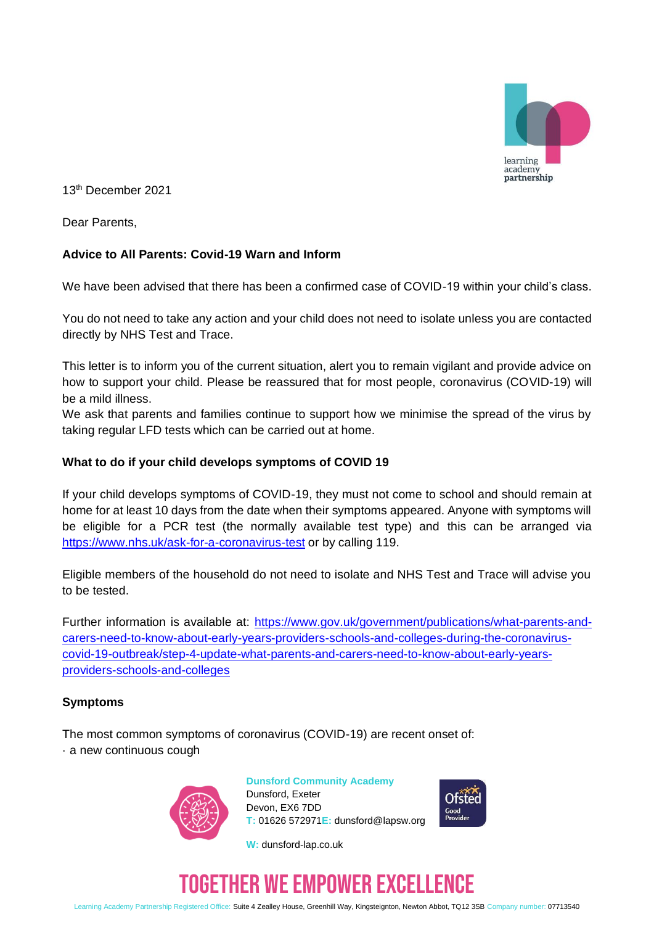

13th December 2021

Dear Parents,

# **Advice to All Parents: Covid-19 Warn and Inform**

We have been advised that there has been a confirmed case of COVID-19 within your child's class.

You do not need to take any action and your child does not need to isolate unless you are contacted directly by NHS Test and Trace.

This letter is to inform you of the current situation, alert you to remain vigilant and provide advice on how to support your child. Please be reassured that for most people, coronavirus (COVID-19) will be a mild illness.

We ask that parents and families continue to support how we minimise the spread of the virus by taking regular LFD tests which can be carried out at home.

#### **What to do if your child develops symptoms of COVID 19**

If your child develops symptoms of COVID-19, they must not come to school and should remain at home for at least 10 days from the date when their symptoms appeared. Anyone with symptoms will be eligible for a PCR test (the normally available test type) and this can be arranged via <https://www.nhs.uk/ask-for-a-coronavirus-test> or by calling 119.

Eligible members of the household do not need to isolate and NHS Test and Trace will advise you to be tested.

Further information is available at: [https://www.gov.uk/government/publications/what-parents-and](https://www.gov.uk/government/publications/what-parents-and-carers-need-to-know-about-early-years-providers-schools-and-colleges-during-the-coronavirus-covid-19-outbreak/step-4-update-what-parents-and-carers-need-to-know-about-early-years-providers-schools-and-colleges)[carers-need-to-know-about-early-years-providers-schools-and-colleges-during-the-coronavirus](https://www.gov.uk/government/publications/what-parents-and-carers-need-to-know-about-early-years-providers-schools-and-colleges-during-the-coronavirus-covid-19-outbreak/step-4-update-what-parents-and-carers-need-to-know-about-early-years-providers-schools-and-colleges)[covid-19-outbreak/step-4-update-what-parents-and-carers-need-to-know-about-early-years](https://www.gov.uk/government/publications/what-parents-and-carers-need-to-know-about-early-years-providers-schools-and-colleges-during-the-coronavirus-covid-19-outbreak/step-4-update-what-parents-and-carers-need-to-know-about-early-years-providers-schools-and-colleges)[providers-schools-and-colleges](https://www.gov.uk/government/publications/what-parents-and-carers-need-to-know-about-early-years-providers-schools-and-colleges-during-the-coronavirus-covid-19-outbreak/step-4-update-what-parents-and-carers-need-to-know-about-early-years-providers-schools-and-colleges)

### **Symptoms**

The most common symptoms of coronavirus (COVID-19) are recent onset of: · a new continuous cough



**Dunsford Community Academy** Dunsford, Exeter Devon, EX6 7DD **T:** 01626 572971**E:** dunsford@lapsw.org

**W:** dunsford-lap.co.uk



# TOGETHER WE EMPOWER EXCELLENCE

Learning Academy Partnership Registered Office: Suite 4 Zealley House, Greenhill Way, Kingsteignton, Newton Abbot, TQ12 3SB Company number: 07713540